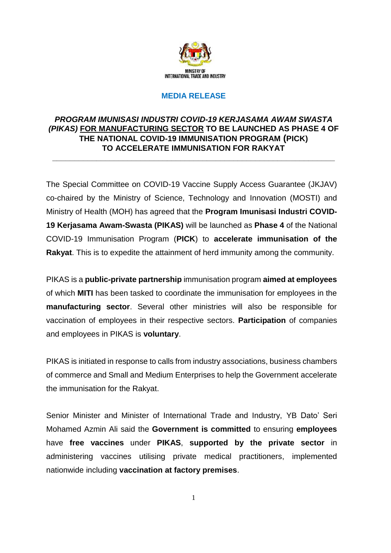

# **MEDIA RELEASE**

## *PROGRAM IMUNISASI INDUSTRI COVID-19 KERJASAMA AWAM SWASTA (PIKAS)* **FOR MANUFACTURING SECTOR TO BE LAUNCHED AS PHASE 4 OF THE NATIONAL COVID-19 IMMUNISATION PROGRAM (PICK) TO ACCELERATE IMMUNISATION FOR RAKYAT \_\_\_\_\_\_\_\_\_\_\_\_\_\_\_\_\_\_\_\_\_\_\_\_\_\_\_\_\_\_\_\_\_\_\_\_\_\_\_\_\_\_\_\_\_\_\_\_\_\_\_\_\_\_\_\_\_\_\_\_\_\_\_\_**

The Special Committee on COVID-19 Vaccine Supply Access Guarantee (JKJAV) co-chaired by the Ministry of Science, Technology and Innovation (MOSTI) and Ministry of Health (MOH) has agreed that the **Program Imunisasi Industri COVID-19 Kerjasama Awam-Swasta (PIKAS)** will be launched as **Phase 4** of the National COVID-19 Immunisation Program (**PICK**) to **accelerate immunisation of the Rakyat**. This is to expedite the attainment of herd immunity among the community.

PIKAS is a **public-private partnership** immunisation program **aimed at employees** of which **MITI** has been tasked to coordinate the immunisation for employees in the **manufacturing sector**. Several other ministries will also be responsible for vaccination of employees in their respective sectors. **Participation** of companies and employees in PIKAS is **voluntary**.

PIKAS is initiated in response to calls from industry associations, business chambers of commerce and Small and Medium Enterprises to help the Government accelerate the immunisation for the Rakyat.

Senior Minister and Minister of International Trade and Industry, YB Dato' Seri Mohamed Azmin Ali said the **Government is committed** to ensuring **employees** have **free vaccines** under **PIKAS**, **supported by the private sector** in administering vaccines utilising private medical practitioners, implemented nationwide including **vaccination at factory premises**.

1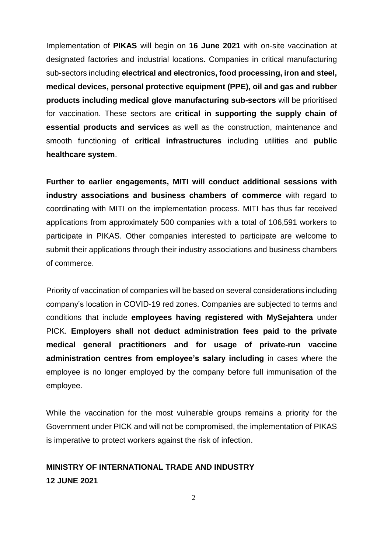Implementation of **PIKAS** will begin on **16 June 2021** with on-site vaccination at designated factories and industrial locations. Companies in critical manufacturing sub-sectors including **electrical and electronics, food processing, iron and steel, medical devices, personal protective equipment (PPE), oil and gas and rubber products including medical glove manufacturing sub-sectors** will be prioritised for vaccination. These sectors are **critical in supporting the supply chain of essential products and services** as well as the construction, maintenance and smooth functioning of **critical infrastructures** including utilities and **public healthcare system**.

**Further to earlier engagements, MITI will conduct additional sessions with industry associations and business chambers of commerce** with regard to coordinating with MITI on the implementation process. MITI has thus far received applications from approximately 500 companies with a total of 106,591 workers to participate in PIKAS. Other companies interested to participate are welcome to submit their applications through their industry associations and business chambers of commerce.

Priority of vaccination of companies will be based on several considerations including company's location in COVID-19 red zones. Companies are subjected to terms and conditions that include **employees having registered with MySejahtera** under PICK. **Employers shall not deduct administration fees paid to the private medical general practitioners and for usage of private-run vaccine administration centres from employee's salary including** in cases where the employee is no longer employed by the company before full immunisation of the employee.

While the vaccination for the most vulnerable groups remains a priority for the Government under PICK and will not be compromised, the implementation of PIKAS is imperative to protect workers against the risk of infection.

# **MINISTRY OF INTERNATIONAL TRADE AND INDUSTRY 12 JUNE 2021**

2